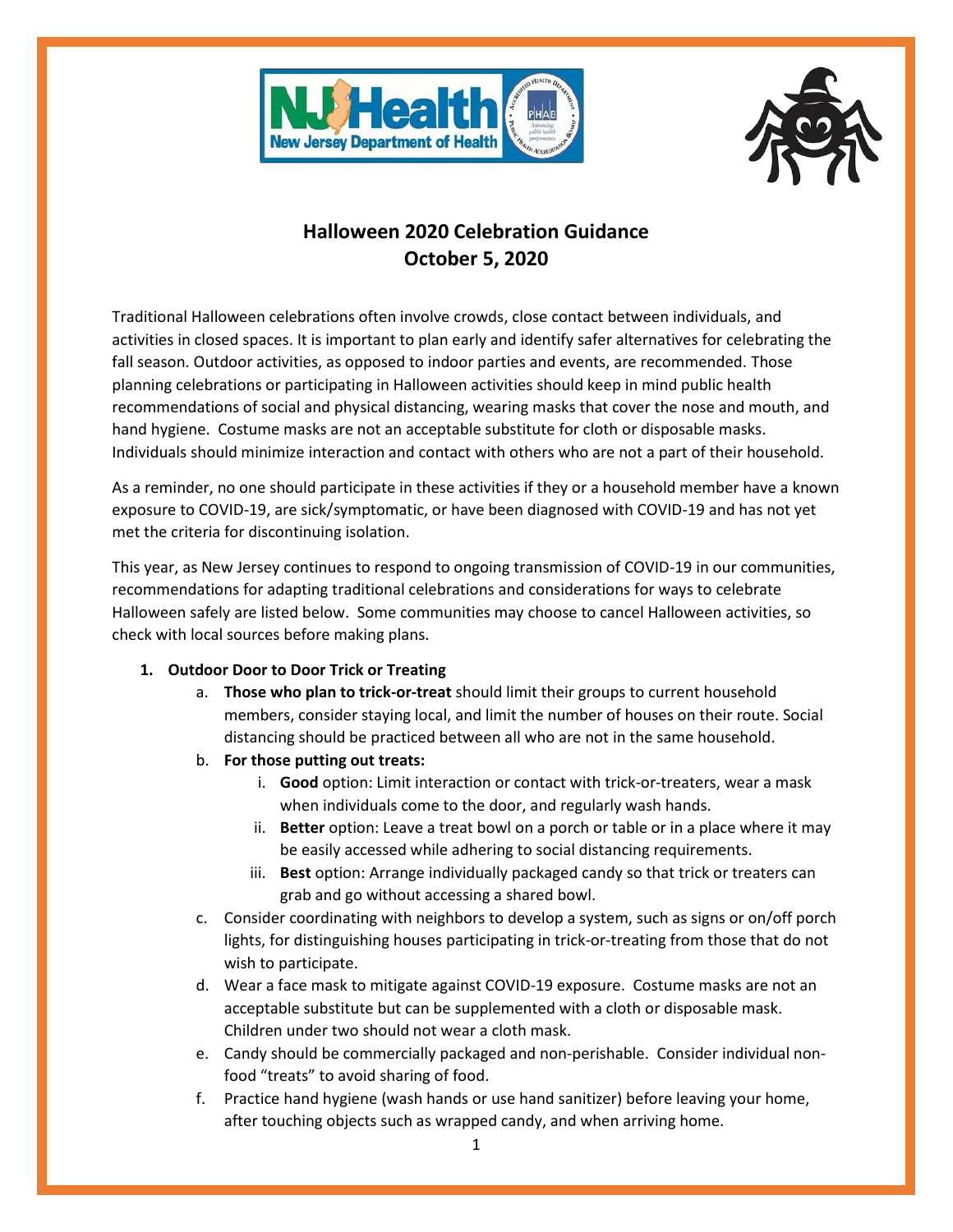



# **Halloween 2020 Celebration Guidance October 5, 2020**

Traditional Halloween celebrations often involve crowds, close contact between individuals, and activities in closed spaces. It is important to plan early and identify safer alternatives for celebrating the fall season. Outdoor activities, as opposed to indoor parties and events, are recommended. Those planning celebrations or participating in Halloween activities should keep in mind public health recommendations of social and physical distancing, wearing masks that cover the nose and mouth, and hand hygiene. Costume masks are not an acceptable substitute for cloth or disposable masks. Individuals should minimize interaction and contact with others who are not a part of their household.

As a reminder, no one should participate in these activities if they or a household member have a known exposure to COVID-19, are sick/symptomatic, or have been diagnosed with COVID-19 and has not yet met the criteria for discontinuing isolation.

This year, as New Jersey continues to respond to ongoing transmission of COVID-19 in our communities, recommendations for adapting traditional celebrations and considerations for ways to celebrate Halloween safely are listed below. Some communities may choose to cancel Halloween activities, so check with local sources before making plans.

- **1. Outdoor Door to Door Trick or Treating**
	- a. **Those who plan to trick-or-treat** should limit their groups to current household members, consider staying local, and limit the number of houses on their route. Social distancing should be practiced between all who are not in the same household.
	- b. **For those putting out treats:**
		- i. **Good** option: Limit interaction or contact with trick-or-treaters, wear a mask when individuals come to the door, and regularly wash hands.
		- ii. **Better** option: Leave a treat bowl on a porch or table or in a place where it may be easily accessed while adhering to social distancing requirements.
		- iii. **Best** option: Arrange individually packaged candy so that trick or treaters can grab and go without accessing a shared bowl.
	- c. Consider coordinating with neighbors to develop a system, such as signs or on/off porch lights, for distinguishing houses participating in trick-or-treating from those that do not wish to participate.
	- d. Wear a face mask to mitigate against COVID-19 exposure. Costume masks are not an acceptable substitute but can be supplemented with a cloth or disposable mask. Children under two should not wear a cloth mask.
	- e. Candy should be commercially packaged and non-perishable. Consider individual nonfood "treats" to avoid sharing of food.
	- f. Practice hand hygiene (wash hands or use hand sanitizer) before leaving your home, after touching objects such as wrapped candy, and when arriving home.